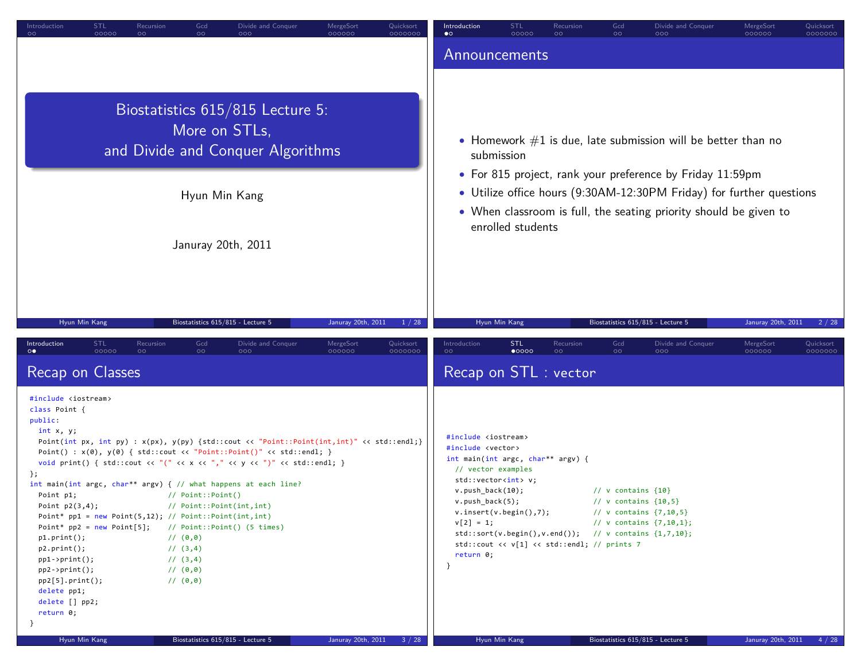| Introduction<br>STL<br>Recursion<br>$\circ$<br>00000<br>$\circ$                                                                                                                                                                                                                                                                                                                                                                 | Gcd<br>Divide and Conquer<br>$\circ$<br>000                                                                                                                                                                                                                                                                                                                                                                                                                                                                      | MergeSort<br>Quicksort<br>000000<br>0000000            | <b>Introduction</b><br>$\bullet$                                                                                                                                                                         | STL<br>00000                                                                                                                                                                                                                                | Recursion<br>$\circ$ | Gcd<br>$\circ$                                                                         | Divide and Conquer<br>000                                                                                                                 | MergeSort<br>000000             | Quicksort<br>0000000 |
|---------------------------------------------------------------------------------------------------------------------------------------------------------------------------------------------------------------------------------------------------------------------------------------------------------------------------------------------------------------------------------------------------------------------------------|------------------------------------------------------------------------------------------------------------------------------------------------------------------------------------------------------------------------------------------------------------------------------------------------------------------------------------------------------------------------------------------------------------------------------------------------------------------------------------------------------------------|--------------------------------------------------------|----------------------------------------------------------------------------------------------------------------------------------------------------------------------------------------------------------|---------------------------------------------------------------------------------------------------------------------------------------------------------------------------------------------------------------------------------------------|----------------------|----------------------------------------------------------------------------------------|-------------------------------------------------------------------------------------------------------------------------------------------|---------------------------------|----------------------|
|                                                                                                                                                                                                                                                                                                                                                                                                                                 |                                                                                                                                                                                                                                                                                                                                                                                                                                                                                                                  |                                                        |                                                                                                                                                                                                          | Announcements                                                                                                                                                                                                                               |                      |                                                                                        |                                                                                                                                           |                                 |                      |
|                                                                                                                                                                                                                                                                                                                                                                                                                                 | Biostatistics 615/815 Lecture 5:<br>More on STLs,<br>and Divide and Conquer Algorithms                                                                                                                                                                                                                                                                                                                                                                                                                           |                                                        |                                                                                                                                                                                                          | submission                                                                                                                                                                                                                                  |                      |                                                                                        | • Homework $#1$ is due, late submission will be better than no<br>• For 815 project, rank your preference by Friday 11:59pm               |                                 |                      |
|                                                                                                                                                                                                                                                                                                                                                                                                                                 | Hyun Min Kang                                                                                                                                                                                                                                                                                                                                                                                                                                                                                                    |                                                        |                                                                                                                                                                                                          | enrolled students                                                                                                                                                                                                                           |                      |                                                                                        | • Utilize office hours (9:30AM-12:30PM Friday) for further questions<br>• When classroom is full, the seating priority should be given to |                                 |                      |
|                                                                                                                                                                                                                                                                                                                                                                                                                                 | Januray 20th, 2011                                                                                                                                                                                                                                                                                                                                                                                                                                                                                               |                                                        |                                                                                                                                                                                                          |                                                                                                                                                                                                                                             |                      |                                                                                        |                                                                                                                                           |                                 |                      |
| Hyun Min Kang<br><b>STL</b><br>Introduction<br>Recursion                                                                                                                                                                                                                                                                                                                                                                        | Biostatistics 615/815 - Lecture 5<br>Gcd<br>Divide and Conquer                                                                                                                                                                                                                                                                                                                                                                                                                                                   | Januray 20th, 2011<br>1 / 28<br>MergeSort<br>Quicksort | Introduction                                                                                                                                                                                             | Hyun Min Kang<br><b>STL</b>                                                                                                                                                                                                                 | Recursion            | Biostatistics 615/815 - Lecture 5<br>Gcd                                               | Divide and Conquer                                                                                                                        | Januray 20th, 2011<br>MergeSort | 2/28<br>Quicksort    |
| $\circ\bullet$<br>00000<br>$\circ$<br>Recap on Classes                                                                                                                                                                                                                                                                                                                                                                          | $\circ \circ$<br>000                                                                                                                                                                                                                                                                                                                                                                                                                                                                                             | 000000<br>0000000                                      | $\circ$                                                                                                                                                                                                  | $\bullet$ 0000<br>Recap on STL : vector                                                                                                                                                                                                     | $\circ$              | $\circ$                                                                                | റററ                                                                                                                                       | 000000                          | 0000000              |
| #include <iostream><br/>class Point {<br/>public:<br/>int x, y;<br/>};<br/>Point p1;<br/>Point <math>p2(3,4)</math>;<br/>Point* <math>pp1 = new Point(5, 12)</math>; // Point::Point(int,int)<br/><math>p1.print()</math>;<br/><math>p2.print()</math>;<br/><math>pp1-&gt;print()</math>;<br/><math>pp2-&gt;print()</math>;<br/><math>pp2[5].print()</math>;<br/>delete pp1;<br/>delete [] pp2;<br/>return 0;<br/>Τ.</iostream> | Point(int px, int py) : $x(px)$ , $y(py)$ {std::cout << "Point::Point(int,int)" << std::endl;}<br>Point() : $x(\theta)$ , $y(\theta)$ { std::cout << "Point::Point()" << std::endl; }<br>void print() { std::cout << "(" << x << "," << y << ")" << std::endl; }<br>int main(int argc, char** argv) $\{$ // what happens at each line?<br>// Point::Point()<br>// Point::Point(int,int)<br>Point* $pp2 = new Point[5];$ // Point::Point() (5 times)<br>11(0,0)<br>$1/$ (3,4)<br>$1/$ (3,4)<br>11(0,0)<br>11(0,0) |                                                        | #include <iostream><br/>#include <vector><br/>// vector examples<br/><math>v. push_back(10);</math><br/><math>v. push_back(5);</math><br/><math>v[2] = 1;</math><br/>return 0;<br/>}</vector></iostream> | int main(int argc, char** argv) {<br>std::vector <int> v;<br/>v.insent(v.begin(),7);<br/><math>std::sort(v.begin(), v.end())</math>; // v contains <math>{1,7,10}</math>;<br/>std::cout &lt;&lt; v[1] &lt;&lt; std::endl; // prints 7</int> |                      | // $v$ contains $\{10\}$<br>// $v$ contains $\{10,5\}$<br>// v contains $\{7, 10, 5\}$ | // v contains $\{7, 10, 1\}$ ;                                                                                                            |                                 |                      |
| Hyun Min Kang                                                                                                                                                                                                                                                                                                                                                                                                                   | Biostatistics 615/815 - Lecture 5                                                                                                                                                                                                                                                                                                                                                                                                                                                                                | Januray 20th, 2011<br>3/28                             |                                                                                                                                                                                                          | Hyun Min Kang                                                                                                                                                                                                                               |                      | Biostatistics 615/815 - Lecture 5                                                      |                                                                                                                                           | Januray 20th, 2011              | 4/28                 |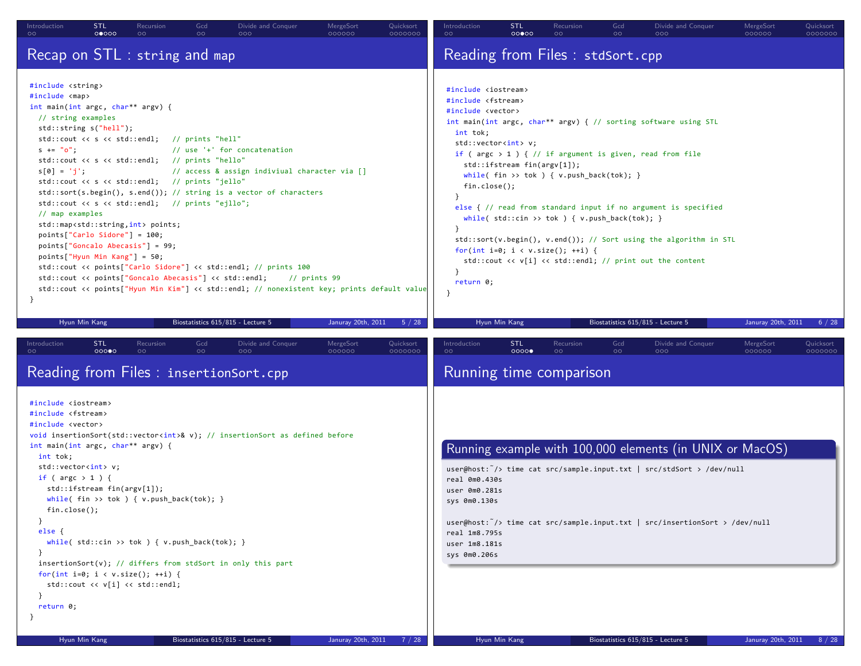| Introduction<br>$\circ$                                                                                                                                                                                                                                                                                                                                                                                                               | <b>STL</b><br>00000         | Recursion<br>$\circ$                                                                                                                                                                                                                                                              | Gcd<br>$\circ$       | Divide and Conquer<br>000                                                                                                                                                                                                                                                                                                             | MergeSort<br>000000 | Quicksort<br>0000000 | Introduction<br>$\circ$                                                                                                                                                                                           | <b>STL</b><br>000000                                       | Recursion<br>$\circ$                                                                                                                         | Gcd<br>$\circ$ | Divide and Conquer<br>000                                                                                                                                                                                                                                                                                                                                                                      | MergeSort<br>000000 | Quicksort<br>0000000 |
|---------------------------------------------------------------------------------------------------------------------------------------------------------------------------------------------------------------------------------------------------------------------------------------------------------------------------------------------------------------------------------------------------------------------------------------|-----------------------------|-----------------------------------------------------------------------------------------------------------------------------------------------------------------------------------------------------------------------------------------------------------------------------------|----------------------|---------------------------------------------------------------------------------------------------------------------------------------------------------------------------------------------------------------------------------------------------------------------------------------------------------------------------------------|---------------------|----------------------|-------------------------------------------------------------------------------------------------------------------------------------------------------------------------------------------------------------------|------------------------------------------------------------|----------------------------------------------------------------------------------------------------------------------------------------------|----------------|------------------------------------------------------------------------------------------------------------------------------------------------------------------------------------------------------------------------------------------------------------------------------------------------------------------------------------------------------------------------------------------------|---------------------|----------------------|
| Recap on STL : string and map                                                                                                                                                                                                                                                                                                                                                                                                         |                             |                                                                                                                                                                                                                                                                                   |                      |                                                                                                                                                                                                                                                                                                                                       |                     |                      |                                                                                                                                                                                                                   |                                                            | Reading from Files : stdSort.cpp                                                                                                             |                |                                                                                                                                                                                                                                                                                                                                                                                                |                     |                      |
| #include <string><br/>#include <map><br/>int main(int argc, char** argv) {<br/>// string examples<br/><math>std::string s("hell")</math>;<br/>std::cout &lt;&lt; s &lt;&lt; std::endl; // prints "hell"<br/><math>s' = "o":</math><br/><math>s[0] = 'j';</math><br/>// map examples<br/><math>points['Carlo Sidore"] = 100;</math><br/>points["Goncalo Abecasis"] = 99;<br/><math>points['Hyun Min Kang"] = 50;</math></map></string> |                             | std::cout << s << std::endl; // prints "hello"<br>std::cout << s << std::endl; // prints "jello"<br>std::cout << s << std::endl; // prints "ejllo";<br>std::map <std::string,int> points;<br/>std::cout &lt;&lt; points["Goncalo Abecasis"] &lt;&lt; std::endl;</std::string,int> |                      | // use '+' for concatenation<br>// access & assign indiviual character via []<br>$std::sort(s.\text{begin}(), s.\text{end}())$ ; // string is a vector of characters<br>std::cout << points["Carlo Sidore"] << std::endl; // prints 100<br>std::cout << points["Hyun Min Kim"] << std::endl; // nonexistent key; prints default value | $11$ prints 99      |                      | #include <iostream><br/>#include <fstream><br/>#include <vector><br/>int tok;<br/><math>fin.close()</math>;<br/><math>\mathcal{F}</math><br/>return 0;<br/><math>\mathcal{F}</math></vector></fstream></iostream> | std::vector <int> v;<br/>std::ifstream fin(argv[1]):</int> | while(fin >> tok ) { $v.push\_back(tok)$ ; }<br>while( $std::cin \gg tok$ ) { $v.push\_back(tok);$ }<br>for(int i=0; i < $v.size()$ ; ++i) { |                | int main(int argc, char** argv) { // sorting software using STL<br>if ( $\arg c > 1$ ) { // if argument is given, read from file<br>else { // read from standard input if no argument is specified<br>$std::sort(v.\text{begin}(), v.\text{end}())$ ; // Sort using the algorithm in STL<br>std::cout $\langle \cdot \rangle$ v[i] $\langle \cdot \rangle$ std::endl; // print out the content |                     |                      |
| Hyun Min Kang                                                                                                                                                                                                                                                                                                                                                                                                                         |                             |                                                                                                                                                                                                                                                                                   |                      | Biostatistics 615/815 - Lecture 5                                                                                                                                                                                                                                                                                                     | Januray 20th, 2011  | 5 / 28               |                                                                                                                                                                                                                   | Hyun Min Kang                                              |                                                                                                                                              |                | Biostatistics 615/815 - Lecture 5                                                                                                                                                                                                                                                                                                                                                              | Januray 20th, 2011  | 6 / 28               |
| Introduction                                                                                                                                                                                                                                                                                                                                                                                                                          | STL<br>00000                | Recursion<br>$\circ$                                                                                                                                                                                                                                                              | Gcd<br>$\circ \circ$ | Divide and Conquer<br>000<br>Reading from Files : insertionSort.cpp                                                                                                                                                                                                                                                                   | MergeSort<br>000000 | Quicksort<br>0000000 | Introduction<br>$\circ$                                                                                                                                                                                           | <b>STL</b><br>0000                                         | Recursion<br>$\circ$<br>Running time comparison                                                                                              | Gcd<br>$\circ$ | Divide and Conquer<br>000                                                                                                                                                                                                                                                                                                                                                                      | MergeSort<br>000000 | Quicksort<br>0000000 |
| #include <iostream><br/>#include <fstream><br/>#include <vector><br/>int main(int argc, char** argv) {<br/>int tok;<br/>std::vector<int> v;<br/>if (<math>\arg c &gt; 1</math>) {<br/>fin.close();<br/>ŀ<br/>else f<br/>- 7<br/>return 0;</int></vector></fstream></iostream>                                                                                                                                                         | std::ifstream fin(argv[1]): | while(fin >> tok ) { $v.push-back(tok)$ ; }<br>while( std::cin >> tok ) { $v.push_back(tok);$ }<br>for(int i=0; i < v.size(); ++i) {<br>std::cout << v[i] << std::endl;                                                                                                           |                      | void insertionSort(std::vector <int>&amp; v); // insertionSort as defined before<br/><math>insertionSort(v); // differs from stdSort in only this part</math></int>                                                                                                                                                                   |                     |                      | real 0m0.430s<br>user 0m0.281s<br>sys 0m0.130s<br>real 1m8.795s<br>user 1m8.181s<br>sys 0m0.206s                                                                                                                  |                                                            |                                                                                                                                              |                | Running example with 100,000 elements (in UNIX or MacOS)<br>user@host: $\tilde{\ }$ /> time cat src/sample.input.txt   src/stdSort > /dev/null<br>user@host: $\hat{ }$ /> time cat src/sample.input.txt   src/insertionSort > /dev/null                                                                                                                                                        |                     |                      |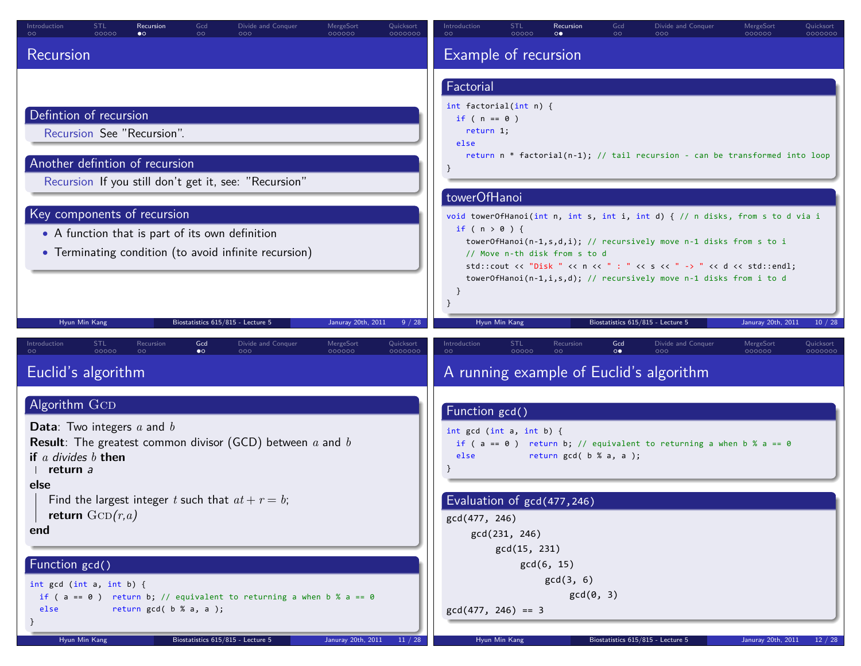| Introduction<br>$\circ$                                                                               | <b>STL</b><br>00000      | Recursion<br>$\bullet$                                                         | Gcd<br>$\circ$   | Divide and Conquer<br>000                                                                                                    | MergeSort<br>000000        | Quicksort<br>0000000 | Introduction<br>$\circ$                              | <b>STL</b><br>00000 | Recursion<br>$\circ\bullet$                           | Gcd<br>$\circ$        | Divide and Conquer<br>000                                                                                                                                                                                                                                                                         | MergeSort<br>000000 | Quicksort<br>0000000 |
|-------------------------------------------------------------------------------------------------------|--------------------------|--------------------------------------------------------------------------------|------------------|------------------------------------------------------------------------------------------------------------------------------|----------------------------|----------------------|------------------------------------------------------|---------------------|-------------------------------------------------------|-----------------------|---------------------------------------------------------------------------------------------------------------------------------------------------------------------------------------------------------------------------------------------------------------------------------------------------|---------------------|----------------------|
| Recursion                                                                                             |                          |                                                                                |                  |                                                                                                                              |                            |                      | Example of recursion                                 |                     |                                                       |                       |                                                                                                                                                                                                                                                                                                   |                     |                      |
|                                                                                                       |                          |                                                                                |                  |                                                                                                                              |                            |                      | Factorial<br>int factorial(int $n$ ) {               |                     |                                                       |                       |                                                                                                                                                                                                                                                                                                   |                     |                      |
| Defintion of recursion                                                                                |                          | Recursion See "Recursion".                                                     |                  |                                                                                                                              |                            |                      | if ( $n == 0$ )<br>return 1;<br>else                 |                     |                                                       |                       |                                                                                                                                                                                                                                                                                                   |                     |                      |
|                                                                                                       |                          | Another defintion of recursion                                                 |                  | Recursion If you still don't get it, see: "Recursion"                                                                        |                            |                      | towerOfHanoi                                         |                     |                                                       |                       | return $n *$ factorial( $n-1$ ); // tail recursion - can be transformed into loop                                                                                                                                                                                                                 |                     |                      |
|                                                                                                       |                          | Key components of recursion<br>• A function that is part of its own definition |                  | • Terminating condition (to avoid infinite recursion)                                                                        |                            |                      | if $(n > 0)$ {                                       |                     | // Move n-th disk from s to d                         |                       | void towerOfHanoi(int n, int s, int i, int d) { // n disks, from s to d via i<br>towerOfHanoi(n-1,s,d,i); // recursively move n-1 disks from s to i<br>std::cout << "Disk " << n << " : " << s << " -> " << d << std::endl;<br>towerOfHanoi(n-1,i,s,d); // recursively move n-1 disks from i to d |                     |                      |
|                                                                                                       | Hyun Min Kang            |                                                                                |                  | Biostatistics 615/815 - Lecture 5                                                                                            | Januray 20th, 2011         | 9 / 28               |                                                      | Hyun Min Kang       |                                                       |                       | Biostatistics 615/815 - Lecture 5                                                                                                                                                                                                                                                                 | Januray 20th, 2011  | 10/28                |
| Introduction                                                                                          | <b>STL</b><br>00000      | Recursion<br>$\circ$                                                           | Gcd<br>$\bullet$ | Divide and Conquer<br>000                                                                                                    | <b>MergeSort</b><br>000000 | Quicksort<br>0000000 | Introduction<br>$\circ$                              | STL<br>00000        | Recursion<br>$\circ$                                  | Gcd<br>$\circ\bullet$ | Divide and Conquer<br>000                                                                                                                                                                                                                                                                         | MergeSort<br>000000 | Quicksort<br>0000000 |
| Euclid's algorithm                                                                                    |                          |                                                                                |                  |                                                                                                                              |                            |                      |                                                      |                     |                                                       |                       | A running example of Euclid's algorithm                                                                                                                                                                                                                                                           |                     |                      |
| Algorithm GCD<br><b>Data:</b> Two integers $a$ and $b$<br>if $a$ divides $b$ then<br>return a<br>else |                          |                                                                                |                  | <b>Result</b> : The greatest common divisor (GCD) between $a$ and $b$<br>Find the largest integer t such that $at + r = b$ ; |                            |                      | Function gcd()<br>int $gcd (int a, int b)$ {<br>else |                     | return $gcd(b % a, a);$<br>Evaluation of gcd(477,246) |                       | if ( $a == 0$ ) return b; // equivalent to returning a when b % $a == 0$                                                                                                                                                                                                                          |                     |                      |
| end                                                                                                   | return $\text{GCD}(r,a)$ |                                                                                |                  |                                                                                                                              |                            |                      | gcd(477, 246)                                        | gcd(231, 246)       |                                                       |                       |                                                                                                                                                                                                                                                                                                   |                     |                      |
| Function gcd()                                                                                        |                          |                                                                                |                  |                                                                                                                              |                            |                      |                                                      | gcd(15, 231)        | gcd(6, 15)                                            |                       |                                                                                                                                                                                                                                                                                                   |                     |                      |
| int $gcd (int a, int b)$ {<br>else                                                                    |                          | return $gcd(b % a, a);$                                                        |                  | if ( $a == 0$ ) return b; // equivalent to returning a when b % a == 0                                                       |                            |                      | $gcd(477, 246) == 3$                                 |                     | gcd(3, 6)<br>$gcd(\theta, 3)$                         |                       |                                                                                                                                                                                                                                                                                                   |                     |                      |
|                                                                                                       | Hyun Min Kang            |                                                                                |                  | Biostatistics 615/815 - Lecture 5                                                                                            | Januray 20th, 2011         | 11/28                |                                                      | Hyun Min Kang       |                                                       |                       | Biostatistics 615/815 - Lecture 5                                                                                                                                                                                                                                                                 | Januray 20th, 2011  | 12/28                |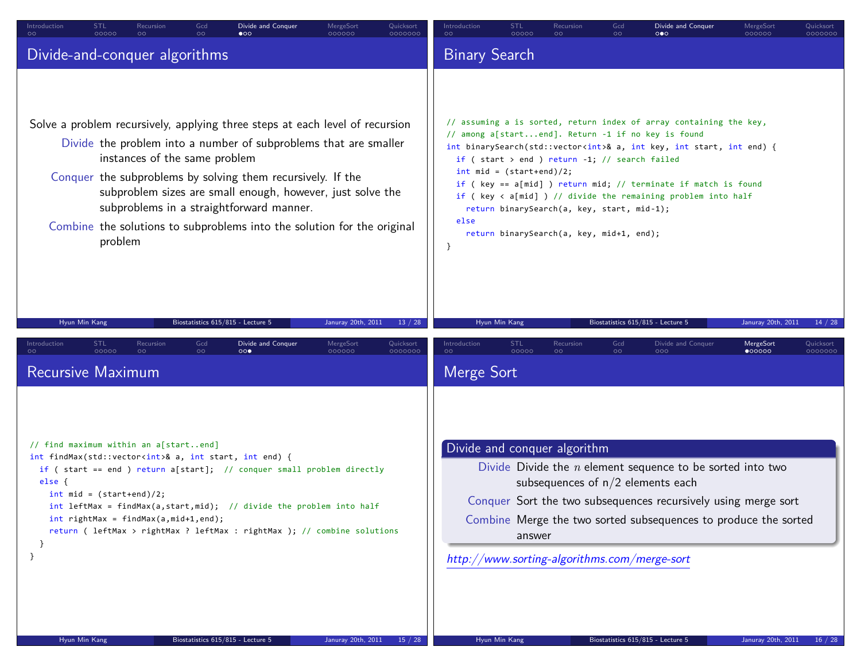| STL<br>Gcd<br>Recursion<br>Divide and Conquer<br>MergeSort<br>Quicksort<br>Introduction<br>00000<br>$\circ$<br>ററ<br>$\bullet$<br>000000<br>0000000                                                                                                                                                                                                                                                                                                               | STL<br>Gcd<br>Recursion<br>Divide and Conquer<br>Quicksort<br>Introduction<br>MergeSort<br>00000<br>$\circ$<br>$\circ$<br>$\circ \bullet \circ$<br>000000<br>0000000                                                                                                                                                                                                                                                                                                                                                                                                                   |
|-------------------------------------------------------------------------------------------------------------------------------------------------------------------------------------------------------------------------------------------------------------------------------------------------------------------------------------------------------------------------------------------------------------------------------------------------------------------|----------------------------------------------------------------------------------------------------------------------------------------------------------------------------------------------------------------------------------------------------------------------------------------------------------------------------------------------------------------------------------------------------------------------------------------------------------------------------------------------------------------------------------------------------------------------------------------|
| Divide-and-conquer algorithms                                                                                                                                                                                                                                                                                                                                                                                                                                     | <b>Binary Search</b>                                                                                                                                                                                                                                                                                                                                                                                                                                                                                                                                                                   |
| Solve a problem recursively, applying three steps at each level of recursion<br>Divide the problem into a number of subproblems that are smaller<br>instances of the same problem<br>Conquer the subproblems by solving them recursively. If the<br>subproblem sizes are small enough, however, just solve the<br>subproblems in a straightforward manner.<br>Combine the solutions to subproblems into the solution for the original<br>problem                  | // assuming a is sorted, return index of array containing the key,<br>// among a[startend]. Return -1 if no key is found<br>int binarySearch(std::vector <int>&amp; a, int key, int start, int end) {<br/>if (start &gt; end ) return <math>-1</math>; // search failed<br/><math>int</math> mid = (start+end)/2;<br/>if ( key == a[mid] ) return mid; // terminate if match is found<br/>if (<math>key &lt; a[mid]</math>) // divide the remaining problem into half<br/>return binarySearch(a, key, start, mid-1);<br/>else<br/>return binarySearch(a, key, mid+1, end);<br/>}</int> |
| Hyun Min Kang<br>Biostatistics 615/815 - Lecture 5<br>Januray 20th, 2011<br>13 / 28<br>Gcd<br>STL<br>MergeSort<br>Introduction<br>Recursion<br>Divide and Conquer<br>Quicksort<br>00000<br>$\circ$<br>$\circ \circ$<br>000<br>000000<br>0000000                                                                                                                                                                                                                   | Hyun Min Kang<br>Biostatistics 615/815 - Lecture 5<br>Januray 20th, 2011<br>14 / 28<br>Gcd<br>STL<br>MergeSort<br>Introduction<br>Recursion<br>Divide and Conquer<br>Quicksort<br>$\bullet$ 00000<br>00000<br>$\circ$<br>$\circ$<br>$\circ$<br>000<br>0000000                                                                                                                                                                                                                                                                                                                          |
| <b>Recursive Maximum</b>                                                                                                                                                                                                                                                                                                                                                                                                                                          | Merge Sort                                                                                                                                                                                                                                                                                                                                                                                                                                                                                                                                                                             |
| // find maximum within an a[startend]<br>int findMax(std::vector <int>&amp; a, int start, int end) {<br/>if ( start == end ) return a[start]; // conquer small problem directly<br/>else f<br/><math>int mid = (start+end)/2;</math><br/>int leftMax = findMax(a, start, mid); // divide the problem into half<br/><math>int</math> rightMax = findMax(a,mid+1,end);<br/>return ( leftMax &gt; rightMax ? leftMax : rightMax ); // combine solutions<br/>₹.</int> | Divide and conquer algorithm<br>Divide Divide the $n$ element sequence to be sorted into two<br>subsequences of $n/2$ elements each<br>Conquer Sort the two subsequences recursively using merge sort<br>Combine Merge the two sorted subsequences to produce the sorted<br>answer<br>http://www.sorting-algorithms.com/merge-sort                                                                                                                                                                                                                                                     |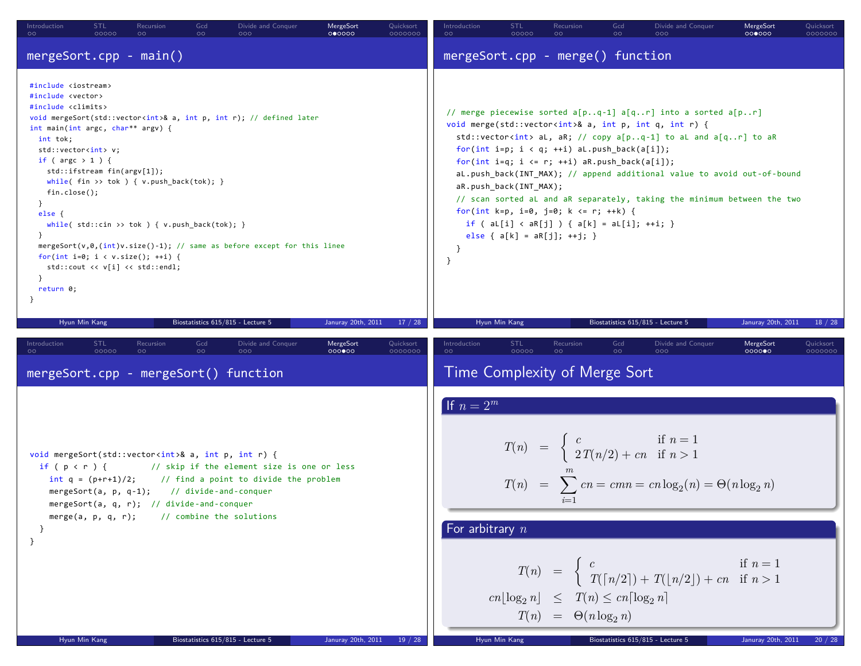| STL<br>Recursion<br>Gcd<br>Divide and Conquer<br><b>MergeSort</b><br>Introduction<br>Quicksort<br>00000<br>$\circ$<br>000000<br>0000000<br>$\circ$<br>$\circ$<br>000                                                                                                                                                                                                                                                                                                                                                                                                                                                                                                                                                                                                                                                      | Introduction<br>STL<br>Recursion<br>Gcd<br>Divide and Conquer<br>MergeSort<br>Quicksort<br>00000<br>$\circ$<br>$\circ$<br>000000<br>0000000<br>$\circ$<br>000                                                                                                                                                                                                                                                                                                                                                                                                                                                                                                                                                  |  |  |  |  |  |
|---------------------------------------------------------------------------------------------------------------------------------------------------------------------------------------------------------------------------------------------------------------------------------------------------------------------------------------------------------------------------------------------------------------------------------------------------------------------------------------------------------------------------------------------------------------------------------------------------------------------------------------------------------------------------------------------------------------------------------------------------------------------------------------------------------------------------|----------------------------------------------------------------------------------------------------------------------------------------------------------------------------------------------------------------------------------------------------------------------------------------------------------------------------------------------------------------------------------------------------------------------------------------------------------------------------------------------------------------------------------------------------------------------------------------------------------------------------------------------------------------------------------------------------------------|--|--|--|--|--|
| $mergeSort.\ncpp - main()$                                                                                                                                                                                                                                                                                                                                                                                                                                                                                                                                                                                                                                                                                                                                                                                                | mergeSort.cpp - merge() function                                                                                                                                                                                                                                                                                                                                                                                                                                                                                                                                                                                                                                                                               |  |  |  |  |  |
| #include <iostream><br/>#include <vector><br/>#include <climits><br/>void mergeSort(std::vector<int>&amp; a, int p, int r); // defined later<br/>int main(int argc, char** argv) {<br/>int tok;<br/>std::vector<int> v;<br/>if (<math>\arg c &gt; 1</math>) {<br/>std::ifstream fin(argv[1]);<br/>while(fin &gt;&gt; tok ) { <math>v.push_back(tok);</math> }<br/><math>fin.close()</math>;<br/><math>\mathcal{F}</math><br/><math>else {</math><br/>while( <math>std::cin \gg tok</math> ) { <math>v.push\_back(tok);</math> }<br/><math>\rightarrow</math><br/>mergeSort(<math>v, \theta</math>,(int)<math>v</math>.size()-1); // same as before except for this linee<br/>for(int i=0; i &lt; v.size(); ++i) {<br/>std::cout &lt;&lt; v[i] &lt;&lt; std::endl;<br/>return 0;</int></int></climits></vector></iostream> | // merge piecewise sorted a[pq-1] a[qr] into a sorted a[pr]<br>void merge(std::vector <int>&amp; a, int p, int q, int r) {<br/>std::vector<int> aL, aR; // copy a[pq-1] to aL and a[qr] to aR<br/>for(int i=p; <math>i &lt; q</math>; ++i) aL.push back(a[i]);<br/>for(int i=q; i <math>\leftarrow</math> r; ++i) aR.push_back(a[i]);<br/>aL.push back(INT MAX); // append additional value to avoid out-of-bound<br/>aR.push_back(INT_MAX);<br/>// scan sorted aL and aR separately, taking the minimum between the two<br/>for(int k=p, i=0, j=0; k &lt;= r; ++k) {<br/>if ( <math>a[[i] &lt; aR[j] ) { a[[k] = a[[i]; ++i; )}</math><br/>else { <math>a[k] = aR[j]; ++j;</math> }<br/>- }<br/>}</int></int> |  |  |  |  |  |
| Januray 20th, 2011<br>Hyun Min Kang<br>Biostatistics 615/815 - Lecture 5<br>17/28                                                                                                                                                                                                                                                                                                                                                                                                                                                                                                                                                                                                                                                                                                                                         | Hyun Min Kang<br>Biostatistics 615/815 - Lecture 5<br>Januray 20th, 2011<br>18/28                                                                                                                                                                                                                                                                                                                                                                                                                                                                                                                                                                                                                              |  |  |  |  |  |
| Gcd<br><b>STL</b><br>Recursion<br>Divide and Conquer<br>MergeSort<br>Quicksort<br>Introduction<br>00000<br>$\circ \circ$<br>$\circ \circ$<br>0000000<br>0000000<br>$\circ$<br>000                                                                                                                                                                                                                                                                                                                                                                                                                                                                                                                                                                                                                                         | <b>STL</b><br>Gcd<br>Introduction<br>Recursion<br>Divide and Conquer<br>MergeSort<br>Quicksort<br>000000<br>00000<br>$\circ$<br>0000000<br>$\circ$<br>$\circ$                                                                                                                                                                                                                                                                                                                                                                                                                                                                                                                                                  |  |  |  |  |  |
| mergeSort.cpp - mergeSort() function                                                                                                                                                                                                                                                                                                                                                                                                                                                                                                                                                                                                                                                                                                                                                                                      | Time Complexity of Merge Sort                                                                                                                                                                                                                                                                                                                                                                                                                                                                                                                                                                                                                                                                                  |  |  |  |  |  |
| void mergeSort(std::vector <int>&amp; a, int p, int r) {<br/>if <math>(p &lt; r)</math> {<br/>// skip if the element size is one or less<br/>int <math>q = (p+r+1)/2</math>;<br/>// find a point to divide the problem<br/>mergeSort(a, <math>p</math>, <math>q-1</math>); // divide-and-conquer<br/>mergeSort(a, q, r); // divide-and-conquer<br/>merge(a, p, q, r);<br/>// combine the solutions<br/><math>\mathcal{F}</math><br/>Hyun Min Kang<br/>Biostatistics 615/815 - Lecture 5<br/>Januray 20th, 2011<br/>19 / 28</int>                                                                                                                                                                                                                                                                                          | If $n=2^m$<br>$T(n) = \begin{cases} c & \text{if } n = 1 \\ 2T(n/2) + cn & \text{if } n > 1 \end{cases}$<br>$T(n) = \sum cn = cmn = cn \log_2(n) = \Theta(n \log_2 n)$<br>For arbitrary $n$<br>$T(n) = \begin{cases} c & \text{if } n = 1 \\ T(\lceil n/2 \rceil) + T(\lfloor n/2 \rfloor) + cn & \text{if } n > 1 \end{cases}$<br>$cn\lfloor \log_2 n \rfloor \leq T(n) \leq cn \lceil \log_2 n \rceil$<br>$T(n) = \Theta(n \log_2 n)$<br>Hyun Min Kang<br>Biostatistics 615/815 - Lecture 5<br>Januray 20th, 2011<br>20 / 28                                                                                                                                                                                 |  |  |  |  |  |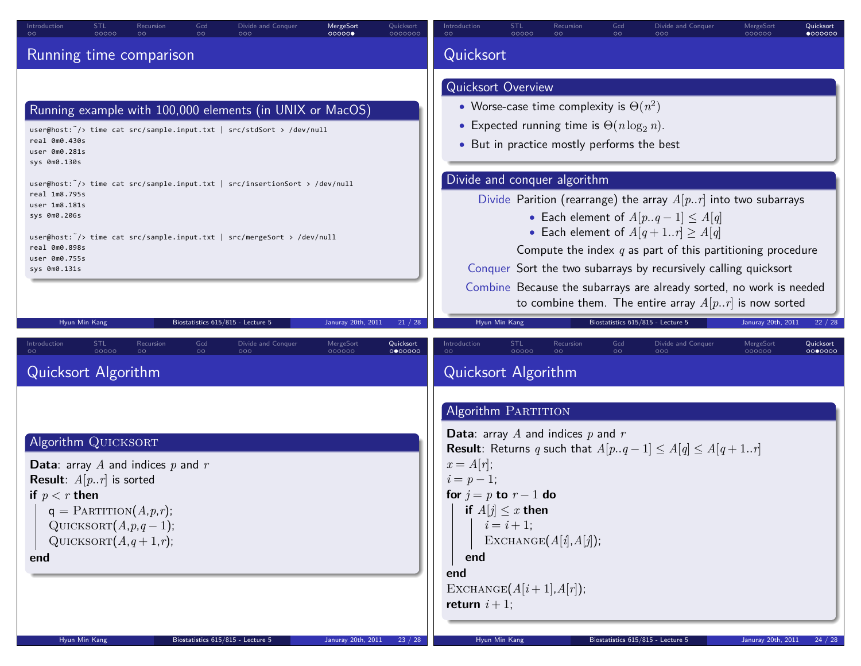| Gcd<br>MergeSort<br>Introduction<br><b>STL</b><br>Divide and Conquer<br>Quicksort<br>Recursion<br>00000<br>00000<br>$\circ$<br>$\circ$<br>000<br>0000000<br>$\circ$                                                                                                                                                                                                                                                                                            | <b>STL</b><br>Gcd<br>Introduction<br>Divide and Conquer<br>MergeSort<br>Quicksort<br>Recursion<br>$\circ$<br>00000<br>$\circ$<br>000000<br>$\bullet$ 000000<br>00 <sub>o</sub><br>റററ                                                                                                                                                                                                                                                                                                                                                                                                                           |
|----------------------------------------------------------------------------------------------------------------------------------------------------------------------------------------------------------------------------------------------------------------------------------------------------------------------------------------------------------------------------------------------------------------------------------------------------------------|-----------------------------------------------------------------------------------------------------------------------------------------------------------------------------------------------------------------------------------------------------------------------------------------------------------------------------------------------------------------------------------------------------------------------------------------------------------------------------------------------------------------------------------------------------------------------------------------------------------------|
| Running time comparison                                                                                                                                                                                                                                                                                                                                                                                                                                        | Quicksort                                                                                                                                                                                                                                                                                                                                                                                                                                                                                                                                                                                                       |
|                                                                                                                                                                                                                                                                                                                                                                                                                                                                | Quicksort Overview                                                                                                                                                                                                                                                                                                                                                                                                                                                                                                                                                                                              |
| Running example with 100,000 elements (in UNIX or MacOS)<br>user@host: /> time cat src/sample.input.txt   src/stdSort > /dev/null<br>real 0m0.430s<br>user 0m0.281s<br>sys 0m0.130s<br>user@host: $\tilde{\ }$ /> time cat src/sample.input.txt   src/insertionSort > /dev/null<br>real 1m8.795s<br>user 1m8.181s<br>sys 0m0.206s<br>user@host: /> time cat src/sample.input.txt   src/mergeSort > /dev/null<br>real 0m0.898s<br>user 0m0.755s<br>sys 0m0.131s | • Worse-case time complexity is $\Theta(n^2)$<br>• Expected running time is $\Theta(n \log_2 n)$ .<br>• But in practice mostly performs the best<br>Divide and conquer algorithm<br>Divide Parition (rearrange) the array $A[p, r]$ into two subarrays<br>• Each element of $A[pq-1] \leq A[q]$<br>• Each element of $A[q+1r] \geq A[q]$<br>Compute the index $q$ as part of this partitioning procedure<br>Conquer Sort the two subarrays by recursively calling quicksort<br>Combine Because the subarrays are already sorted, no work is needed<br>to combine them. The entire array $A[p, r]$ is now sorted |
| Biostatistics 615/815 - Lecture 5<br>Hyun Min Kang<br>Januray 20th, 2011<br>21 / 28                                                                                                                                                                                                                                                                                                                                                                            | Hyun Min Kang<br>Biostatistics 615/815 - Lecture 5<br>22 / 28<br>Januray 20th, 2011                                                                                                                                                                                                                                                                                                                                                                                                                                                                                                                             |
| <b>STL</b><br>Gcd<br>MergeSort<br>Recursion<br>Divide and Conquer<br>Quicksort<br>Introduction<br>00000<br>$\circ \circ$<br>000000<br>$\circ$<br>000<br>0000000<br>Quicksort Algorithm                                                                                                                                                                                                                                                                         | <b>STL</b><br>Gcd<br>Divide and Conquer<br>MergeSort<br>Quicksort<br>Introduction<br>Recursion<br>00000<br>$\circ$<br>$\circ$<br>$\circ$<br>000<br>000000<br>0000000<br>Quicksort Algorithm                                                                                                                                                                                                                                                                                                                                                                                                                     |
| Algorithm QUICKSORT<br><b>Data:</b> array A and indices $p$ and $r$<br><b>Result:</b> $A[p, r]$ is sorted<br>if $p < r$ then<br>$q =$ PARTITION $(A, p, r)$ ;<br>QUICKSORT $(A, p, q-1)$ ;<br>QUICKSORT $(A,q+1,r)$ ;<br>end<br>Biostatistics 615/815 - Lecture 5<br>Januray 20th, 2011<br>Hyun Min Kang<br>23 / 28                                                                                                                                            | Algorithm PARTITION<br><b>Data:</b> array A and indices $p$ and $r$<br><b>Result</b> : Returns q such that $A[pq-1] \leq A[q] \leq A[q+1r]$<br>$x = A[r]$ ;<br>$i = p - 1;$<br>for $j = p$ to $r - 1$ do<br>if $A[j] \leq x$ then<br>$i = i + 1;$<br>EXCHANGE $(A[i], A[j])$ ;<br>end<br>end<br>EXCHANGE $(A[i+1], A[r])$ ;<br>return $i+1$ ;<br>Biostatistics 615/815 - Lecture 5<br>Januray 20th, 2011<br>Hvun Min Kanı<br>24 / 28                                                                                                                                                                            |